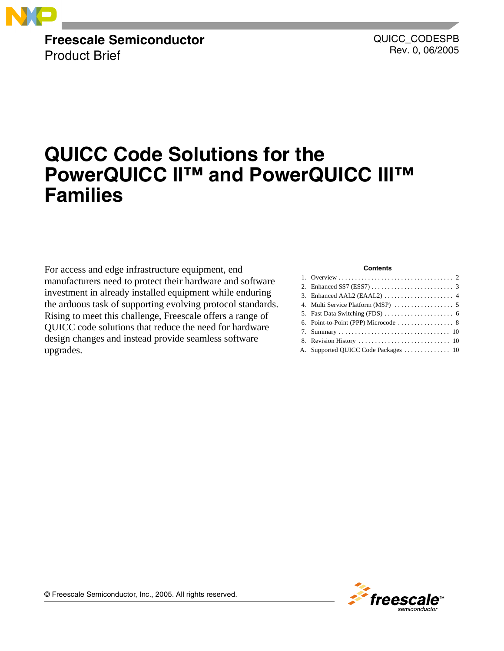

### **Freescale Semiconductor** Product Brief

QUICC\_CODESPB Rev. 0, 06/2005

# **QUICC Code Solutions for the PowerQUICC II™ and PowerQUICC III™ Families**

For access and edge infrastructure equipment, end manufacturers need to protect their hardware and software investment in already installed equipment while enduring the arduous task of supporting evolving protocol standards. Rising to meet this challenge, Freescale offers a range of QUICC code solutions that reduce the need for hardware design changes and instead provide seamless software upgrades.

#### **Contents**

| A. Supported QUICC Code Packages  10 |
|--------------------------------------|
|                                      |



© Freescale Semiconductor, Inc., 2005. All rights reserved.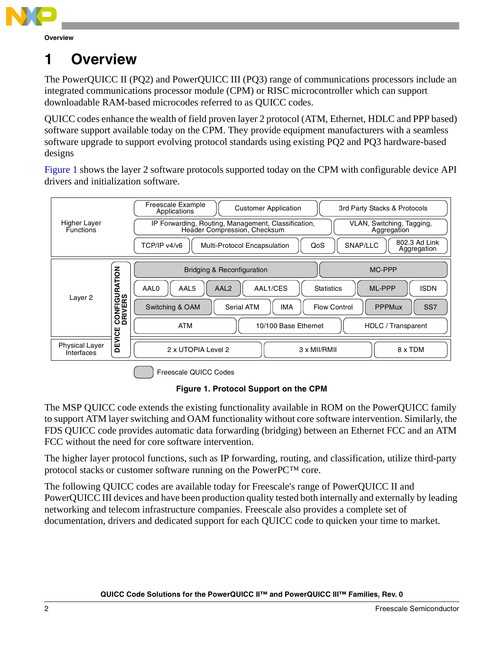

# <span id="page-1-0"></span>**1 Overview**

The PowerQUICC II (PQ2) and PowerQUICC III (PQ3) range of communications processors include an integrated communications processor module (CPM) or RISC microcontroller which can support downloadable RAM-based microcodes referred to as QUICC codes.

QUICC codes enhance the wealth of field proven layer 2 protocol (ATM, Ethernet, HDLC and PPP based) software support available today on the CPM. They provide equipment manufacturers with a seamless software upgrade to support evolving protocol standards using existing PQ2 and PQ3 hardware-based designs

[Figure 1](#page-1-1) shows the layer 2 software protocols supported today on the CPM with configurable device API drivers and initialization software.



**Figure 1. Protocol Support on the CPM**

<span id="page-1-1"></span>The MSP QUICC code extends the existing functionality available in ROM on the PowerQUICC family to support ATM layer switching and OAM functionality without core software intervention. Similarly, the FDS QUICC code provides automatic data forwarding (bridging) between an Ethernet FCC and an ATM FCC without the need for core software intervention.

The higher layer protocol functions, such as IP forwarding, routing, and classification, utilize third-party protocol stacks or customer software running on the PowerPC™ core.

The following QUICC codes are available today for Freescale's range of PowerQUICC II and PowerQUICC III devices and have been production quality tested both internally and externally by leading networking and telecom infrastructure companies. Freescale also provides a complete set of documentation, drivers and dedicated support for each QUICC code to quicken your time to market.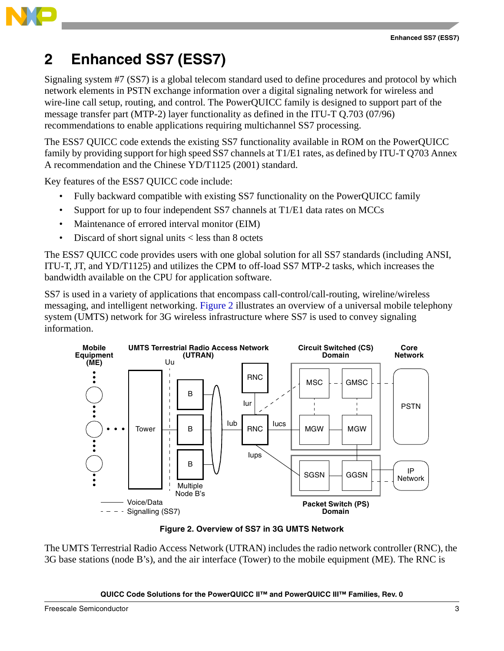

### <span id="page-2-0"></span>**2 Enhanced SS7 (ESS7)**

Signaling system #7 (SS7) is a global telecom standard used to define procedures and protocol by which network elements in PSTN exchange information over a digital signaling network for wireless and wire-line call setup, routing, and control. The PowerQUICC family is designed to support part of the message transfer part (MTP-2) layer functionality as defined in the ITU-T Q.703 (07/96) recommendations to enable applications requiring multichannel SS7 processing.

The ESS7 QUICC code extends the existing SS7 functionality available in ROM on the PowerQUICC family by providing support for high speed SS7 channels at T1/E1 rates, as defined by ITU-T Q703 Annex A recommendation and the Chinese YD/T1125 (2001) standard.

Key features of the ESS7 QUICC code include:

- Fully backward compatible with existing SS7 functionality on the PowerQUICC family
- Support for up to four independent SS7 channels at T1/E1 data rates on MCCs
- Maintenance of errored interval monitor (EIM)
- Discard of short signal units  $\langle$  less than 8 octets

The ESS7 QUICC code provides users with one global solution for all SS7 standards (including ANSI, ITU-T, JT, and YD/T1125) and utilizes the CPM to off-load SS7 MTP-2 tasks, which increases the bandwidth available on the CPU for application software.

SS7 is used in a variety of applications that encompass call-control/call-routing, wireline/wireless messaging, and intelligent networking. [Figure 2](#page-2-1) illustrates an overview of a universal mobile telephony system (UMTS) network for 3G wireless infrastructure where SS7 is used to convey signaling information.



**Figure 2. Overview of SS7 in 3G UMTS Network**

<span id="page-2-1"></span>The UMTS Terrestrial Radio Access Network (UTRAN) includes the radio network controller (RNC), the 3G base stations (node B's), and the air interface (Tower) to the mobile equipment (ME). The RNC is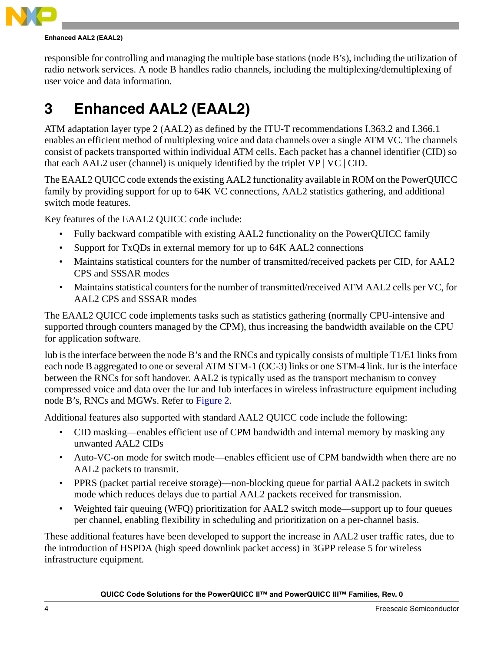

#### **Enhanced AAL2 (EAAL2)**

responsible for controlling and managing the multiple base stations (node B's), including the utilization of radio network services. A node B handles radio channels, including the multiplexing/demultiplexing of user voice and data information.

# <span id="page-3-0"></span>**3 Enhanced AAL2 (EAAL2)**

ATM adaptation layer type 2 (AAL2) as defined by the ITU-T recommendations I.363.2 and I.366.1 enables an efficient method of multiplexing voice and data channels over a single ATM VC. The channels consist of packets transported within individual ATM cells. Each packet has a channel identifier (CID) so that each AAL2 user (channel) is uniquely identified by the triplet VP | VC | CID.

The EAAL2 QUICC code extends the existing AAL2 functionality available in ROM on the PowerQUICC family by providing support for up to 64K VC connections, AAL2 statistics gathering, and additional switch mode features.

Key features of the EAAL2 QUICC code include:

- Fully backward compatible with existing AAL2 functionality on the PowerQUICC family
- Support for TxQDs in external memory for up to 64K AAL2 connections
- Maintains statistical counters for the number of transmitted/received packets per CID, for AAL2 CPS and SSSAR modes
- Maintains statistical counters for the number of transmitted/received ATM AAL2 cells per VC, for AAL2 CPS and SSSAR modes

The EAAL2 QUICC code implements tasks such as statistics gathering (normally CPU-intensive and supported through counters managed by the CPM), thus increasing the bandwidth available on the CPU for application software.

Iub is the interface between the node B's and the RNCs and typically consists of multiple T1/E1 links from each node B aggregated to one or several ATM STM-1 (OC-3) links or one STM-4 link. Iur is the interface between the RNCs for soft handover. AAL2 is typically used as the transport mechanism to convey compressed voice and data over the Iur and Iub interfaces in wireless infrastructure equipment including node B's, RNCs and MGWs. Refer to [Figure 2.](#page-2-1)

Additional features also supported with standard AAL2 QUICC code include the following:

- CID masking—enables efficient use of CPM bandwidth and internal memory by masking any unwanted AAL2 CIDs
- Auto-VC-on mode for switch mode—enables efficient use of CPM bandwidth when there are no AAL2 packets to transmit.
- PPRS (packet partial receive storage)—non-blocking queue for partial AAL2 packets in switch mode which reduces delays due to partial AAL2 packets received for transmission.
- Weighted fair queuing (WFQ) prioritization for AAL2 switch mode—support up to four queues per channel, enabling flexibility in scheduling and prioritization on a per-channel basis.

These additional features have been developed to support the increase in AAL2 user traffic rates, due to the introduction of HSPDA (high speed downlink packet access) in 3GPP release 5 for wireless infrastructure equipment.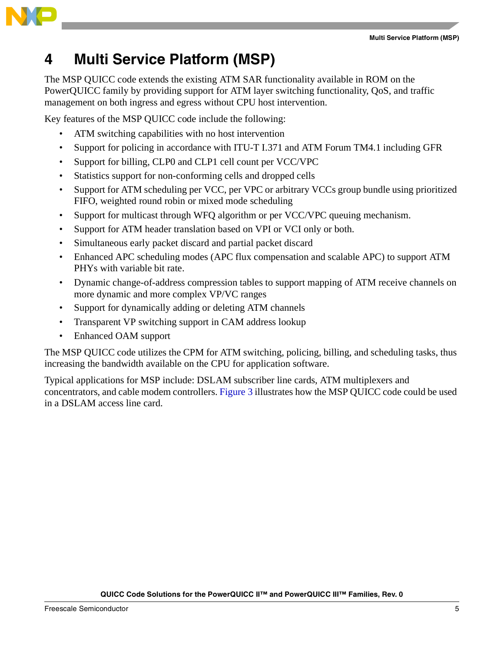

### <span id="page-4-0"></span>**4 Multi Service Platform (MSP)**

The MSP QUICC code extends the existing ATM SAR functionality available in ROM on the PowerQUICC family by providing support for ATM layer switching functionality, QoS, and traffic management on both ingress and egress without CPU host intervention.

Key features of the MSP QUICC code include the following:

- ATM switching capabilities with no host intervention
- Support for policing in accordance with ITU-T I.371 and ATM Forum TM4.1 including GFR
- Support for billing, CLP0 and CLP1 cell count per VCC/VPC
- Statistics support for non-conforming cells and dropped cells
- Support for ATM scheduling per VCC, per VPC or arbitrary VCCs group bundle using prioritized FIFO, weighted round robin or mixed mode scheduling
- Support for multicast through WFQ algorithm or per VCC/VPC queuing mechanism.
- Support for ATM header translation based on VPI or VCI only or both.
- Simultaneous early packet discard and partial packet discard
- Enhanced APC scheduling modes (APC flux compensation and scalable APC) to support ATM PHYs with variable bit rate.
- Dynamic change-of-address compression tables to support mapping of ATM receive channels on more dynamic and more complex VP/VC ranges
- Support for dynamically adding or deleting ATM channels
- Transparent VP switching support in CAM address lookup
- Enhanced OAM support

The MSP QUICC code utilizes the CPM for ATM switching, policing, billing, and scheduling tasks, thus increasing the bandwidth available on the CPU for application software.

Typical applications for MSP include: DSLAM subscriber line cards, ATM multiplexers and concentrators, and cable modem controllers. [Figure 3](#page-5-1) illustrates how the MSP QUICC code could be used in a DSLAM access line card.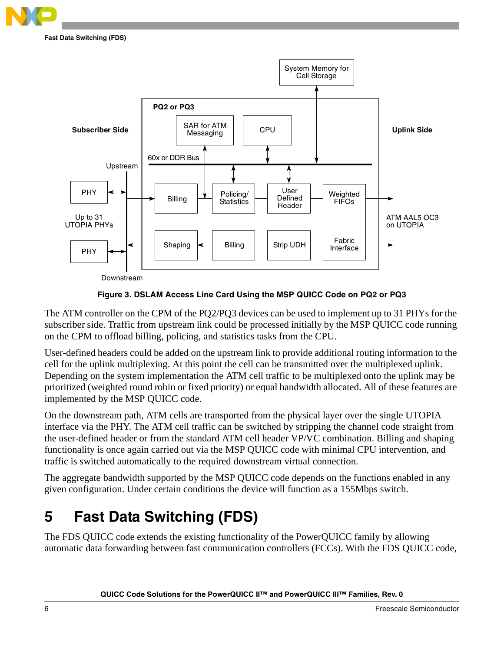



**Figure 3. DSLAM Access Line Card Using the MSP QUICC Code on PQ2 or PQ3**

<span id="page-5-1"></span>The ATM controller on the CPM of the PQ2/PQ3 devices can be used to implement up to 31 PHYs for the subscriber side. Traffic from upstream link could be processed initially by the MSP QUICC code running on the CPM to offload billing, policing, and statistics tasks from the CPU.

User-defined headers could be added on the upstream link to provide additional routing information to the cell for the uplink multiplexing. At this point the cell can be transmitted over the multiplexed uplink. Depending on the system implementation the ATM cell traffic to be multiplexed onto the uplink may be prioritized (weighted round robin or fixed priority) or equal bandwidth allocated. All of these features are implemented by the MSP QUICC code.

On the downstream path, ATM cells are transported from the physical layer over the single UTOPIA interface via the PHY. The ATM cell traffic can be switched by stripping the channel code straight from the user-defined header or from the standard ATM cell header VP/VC combination. Billing and shaping functionality is once again carried out via the MSP QUICC code with minimal CPU intervention, and traffic is switched automatically to the required downstream virtual connection.

The aggregate bandwidth supported by the MSP QUICC code depends on the functions enabled in any given configuration. Under certain conditions the device will function as a 155Mbps switch.

# <span id="page-5-0"></span>**5 Fast Data Switching (FDS)**

The FDS QUICC code extends the existing functionality of the PowerQUICC family by allowing automatic data forwarding between fast communication controllers (FCCs). With the FDS QUICC code,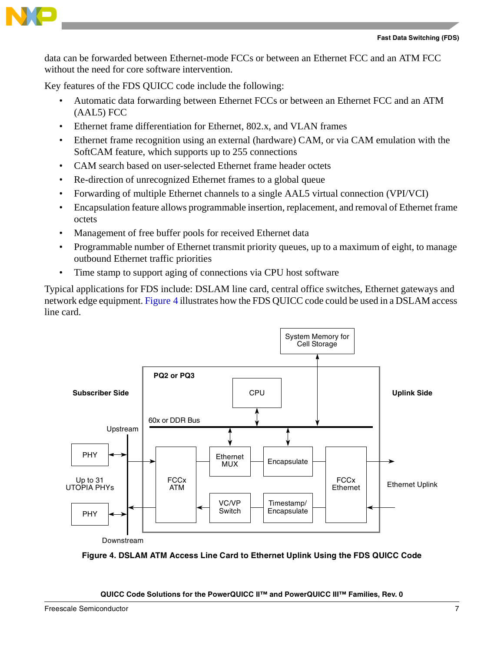

data can be forwarded between Ethernet-mode FCCs or between an Ethernet FCC and an ATM FCC without the need for core software intervention.

Key features of the FDS QUICC code include the following:

- Automatic data forwarding between Ethernet FCCs or between an Ethernet FCC and an ATM (AAL5) FCC
- Ethernet frame differentiation for Ethernet, 802.x, and VLAN frames
- Ethernet frame recognition using an external (hardware) CAM, or via CAM emulation with the SoftCAM feature, which supports up to 255 connections
- CAM search based on user-selected Ethernet frame header octets
- Re-direction of unrecognized Ethernet frames to a global queue
- Forwarding of multiple Ethernet channels to a single AAL5 virtual connection (VPI/VCI)
- Encapsulation feature allows programmable insertion, replacement, and removal of Ethernet frame octets
- Management of free buffer pools for received Ethernet data
- Programmable number of Ethernet transmit priority queues, up to a maximum of eight, to manage outbound Ethernet traffic priorities
- Time stamp to support aging of connections via CPU host software

Typical applications for FDS include: DSLAM line card, central office switches, Ethernet gateways and network edge equipment. [Figure 4](#page-6-0) illustrates how the FDS QUICC code could be used in a DSLAM access line card.



<span id="page-6-0"></span>**Figure 4. DSLAM ATM Access Line Card to Ethernet Uplink Using the FDS QUICC Code**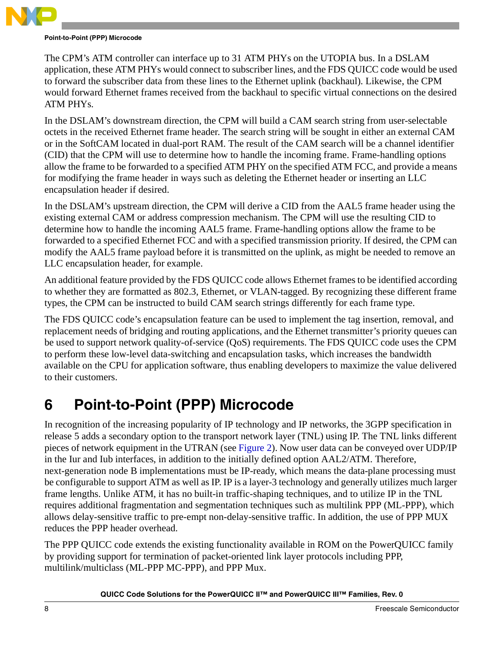

#### **Point-to-Point (PPP) Microcode**

The CPM's ATM controller can interface up to 31 ATM PHYs on the UTOPIA bus. In a DSLAM application, these ATM PHYs would connect to subscriber lines, and the FDS QUICC code would be used to forward the subscriber data from these lines to the Ethernet uplink (backhaul). Likewise, the CPM would forward Ethernet frames received from the backhaul to specific virtual connections on the desired ATM PHYs.

In the DSLAM's downstream direction, the CPM will build a CAM search string from user-selectable octets in the received Ethernet frame header. The search string will be sought in either an external CAM or in the SoftCAM located in dual-port RAM. The result of the CAM search will be a channel identifier (CID) that the CPM will use to determine how to handle the incoming frame. Frame-handling options allow the frame to be forwarded to a specified ATM PHY on the specified ATM FCC, and provide a means for modifying the frame header in ways such as deleting the Ethernet header or inserting an LLC encapsulation header if desired.

In the DSLAM's upstream direction, the CPM will derive a CID from the AAL5 frame header using the existing external CAM or address compression mechanism. The CPM will use the resulting CID to determine how to handle the incoming AAL5 frame. Frame-handling options allow the frame to be forwarded to a specified Ethernet FCC and with a specified transmission priority. If desired, the CPM can modify the AAL5 frame payload before it is transmitted on the uplink, as might be needed to remove an LLC encapsulation header, for example.

An additional feature provided by the FDS QUICC code allows Ethernet frames to be identified according to whether they are formatted as 802.3, Ethernet, or VLAN-tagged. By recognizing these different frame types, the CPM can be instructed to build CAM search strings differently for each frame type.

The FDS QUICC code's encapsulation feature can be used to implement the tag insertion, removal, and replacement needs of bridging and routing applications, and the Ethernet transmitter's priority queues can be used to support network quality-of-service (QoS) requirements. The FDS QUICC code uses the CPM to perform these low-level data-switching and encapsulation tasks, which increases the bandwidth available on the CPU for application software, thus enabling developers to maximize the value delivered to their customers.

### <span id="page-7-0"></span>**6 Point-to-Point (PPP) Microcode**

In recognition of the increasing popularity of IP technology and IP networks, the 3GPP specification in release 5 adds a secondary option to the transport network layer (TNL) using IP. The TNL links different pieces of network equipment in the UTRAN (see [Figure 2](#page-2-1)). Now user data can be conveyed over UDP/IP in the Iur and Iub interfaces, in addition to the initially defined option AAL2/ATM. Therefore, next-generation node B implementations must be IP-ready, which means the data-plane processing must be configurable to support ATM as well as IP. IP is a layer-3 technology and generally utilizes much larger frame lengths. Unlike ATM, it has no built-in traffic-shaping techniques, and to utilize IP in the TNL requires additional fragmentation and segmentation techniques such as multilink PPP (ML-PPP), which allows delay-sensitive traffic to pre-empt non-delay-sensitive traffic. In addition, the use of PPP MUX reduces the PPP header overhead.

The PPP QUICC code extends the existing functionality available in ROM on the PowerQUICC family by providing support for termination of packet-oriented link layer protocols including PPP, multilink/multiclass (ML-PPP MC-PPP), and PPP Mux.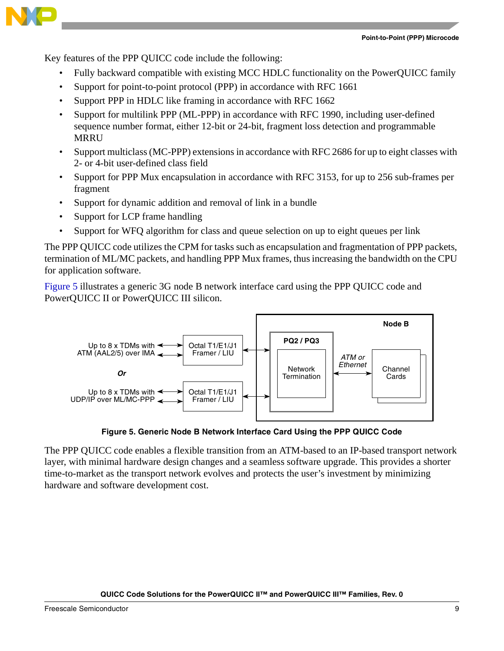

Key features of the PPP QUICC code include the following:

- Fully backward compatible with existing MCC HDLC functionality on the PowerQUICC family
- Support for point-to-point protocol (PPP) in accordance with RFC 1661
- Support PPP in HDLC like framing in accordance with RFC 1662
- Support for multilink PPP (ML-PPP) in accordance with RFC 1990, including user-defined sequence number format, either 12-bit or 24-bit, fragment loss detection and programmable MRRU
- Support multiclass (MC-PPP) extensions in accordance with RFC 2686 for up to eight classes with 2- or 4-bit user-defined class field
- Support for PPP Mux encapsulation in accordance with RFC 3153, for up to 256 sub-frames per fragment
- Support for dynamic addition and removal of link in a bundle
- Support for LCP frame handling
- Support for WFQ algorithm for class and queue selection on up to eight queues per link

The PPP QUICC code utilizes the CPM for tasks such as encapsulation and fragmentation of PPP packets, termination of ML/MC packets, and handling PPP Mux frames, thus increasing the bandwidth on the CPU for application software.

[Figure 5](#page-8-0) illustrates a generic 3G node B network interface card using the PPP QUICC code and PowerQUICC II or PowerQUICC III silicon.



**Figure 5. Generic Node B Network Interface Card Using the PPP QUICC Code**

<span id="page-8-0"></span>The PPP QUICC code enables a flexible transition from an ATM-based to an IP-based transport network layer, with minimal hardware design changes and a seamless software upgrade. This provides a shorter time-to-market as the transport network evolves and protects the user's investment by minimizing hardware and software development cost.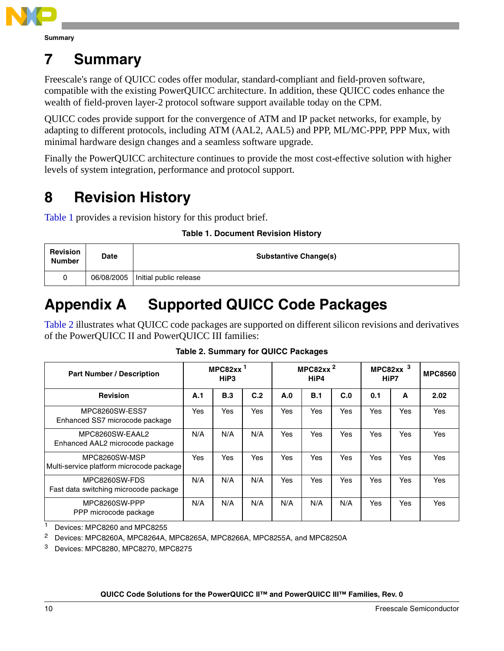

# <span id="page-9-0"></span>**7 Summary**

Freescale's range of QUICC codes offer modular, standard-compliant and field-proven software, compatible with the existing PowerQUICC architecture. In addition, these QUICC codes enhance the wealth of field-proven layer-2 protocol software support available today on the CPM.

QUICC codes provide support for the convergence of ATM and IP packet networks, for example, by adapting to different protocols, including ATM (AAL2, AAL5) and PPP, ML/MC-PPP, PPP Mux, with minimal hardware design changes and a seamless software upgrade.

Finally the PowerQUICC architecture continues to provide the most cost-effective solution with higher levels of system integration, performance and protocol support.

# <span id="page-9-2"></span>**8 Revision History**

[Table 1](#page-9-4) provides a revision history for this product brief.

| <b>Table 1. Document Revision History</b> |  |  |
|-------------------------------------------|--|--|
|-------------------------------------------|--|--|

<span id="page-9-4"></span>

| Revision<br><b>Number</b> | Date       | <b>Substantive Change(s)</b> |
|---------------------------|------------|------------------------------|
|                           | 06/08/2005 | Initial public release       |

### <span id="page-9-1"></span>**Appendix A Supported QUICC Code Packages**

[Table 2](#page-9-3) illustrates what QUICC code packages are supported on different silicon revisions and derivatives of the PowerQUICC II and PowerQUICC III families:

<span id="page-9-3"></span>

| <b>Part Number / Description</b>                          | $MPC82xx$ <sup>1</sup><br>MPC82 $xx^2$<br>HiP3<br>HiP4 |     |     | MPC82xx $3$<br>HiP7 |     | <b>MPC8560</b> |     |     |      |
|-----------------------------------------------------------|--------------------------------------------------------|-----|-----|---------------------|-----|----------------|-----|-----|------|
| <b>Revision</b>                                           | A.1                                                    | B.3 | C.2 | A.0                 | B.1 | C.0            | 0.1 | A   | 2.02 |
| MPC8260SW-ESS7<br>Enhanced SS7 microcode package          | Yes                                                    | Yes | Yes | Yes                 | Yes | Yes            | Yes | Yes | Yes  |
| MPC8260SW-EAAL2<br>Enhanced AAL2 microcode package        | N/A                                                    | N/A | N/A | Yes                 | Yes | Yes            | Yes | Yes | Yes  |
| MPC8260SW-MSP<br>Multi-service platform microcode package | Yes                                                    | Yes | Yes | Yes                 | Yes | Yes            | Yes | Yes | Yes  |
| MPC8260SW-FDS<br>Fast data switching microcode package    | N/A                                                    | N/A | N/A | Yes                 | Yes | Yes            | Yes | Yes | Yes  |
| MPC8260SW-PPP<br>PPP microcode package                    | N/A                                                    | N/A | N/A | N/A                 | N/A | N/A            | Yes | Yes | Yes  |

| <b>Table 2. Summary for QUICC Packages</b> |  |  |  |
|--------------------------------------------|--|--|--|
|--------------------------------------------|--|--|--|

1 Devices: MPC8260 and MPC8255

2 Devices: MPC8260A, MPC8264A, MPC8265A, MPC8266A, MPC8255A, and MPC8250A

3 Devices: MPC8280, MPC8270, MPC8275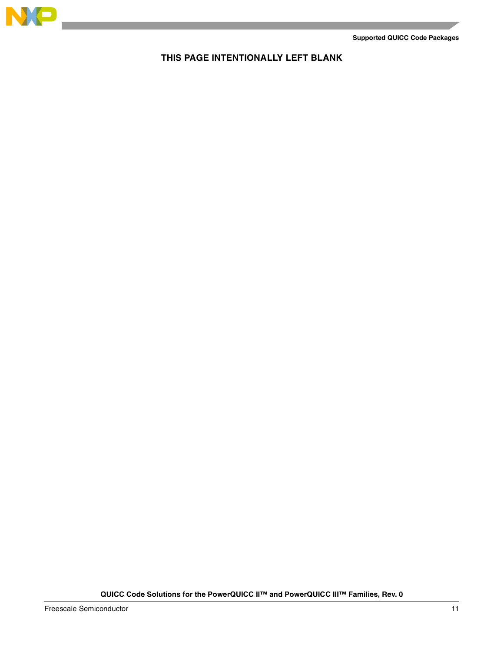

**Supported QUICC Code Packages**

### **THIS PAGE INTENTIONALLY LEFT BLANK**